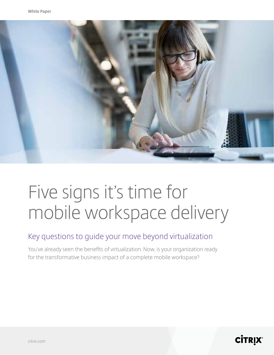

# Five signs it's time for mobile workspace delivery

### Key questions to guide your move beyond virtualization

You've already seen the benefts of virtualization. Now, is your organization ready for the transformative business impact of a complete mobile workspace?

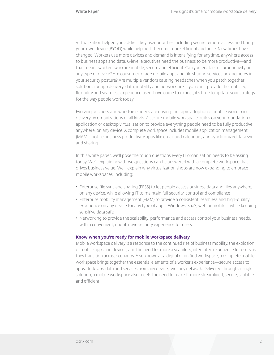Virtualization helped you address key user priorities including secure remote access and bringyour-own device (BYOD) while helping IT become more effcient and agile. Now times have changed. Workers use more devices and demand is intensifying for anytime, anywhere access to business apps and data. C-level executives need the business to be more productive—and that means workers who are mobile, secure and effcient. Can you enable full productivity on any type of device? Are consumer-grade mobile apps and fle sharing services poking holes in your security posture? Are multiple vendors causing headaches when you patch together solutions for app delivery, data, mobility and networking? If you can't provide the mobility, fexibility and seamless experience users have come to expect, it's time to update your strategy for the way people work today.

Evolving business and workforce needs are driving the rapid adoption of mobile workspace delivery by organizations of all kinds. A secure mobile workspace builds on your foundation of application or desktop virtualization to provide everything people need to be fully productive, anywhere, on any device. A complete workspace includes mobile application management (MAM), mobile business productivity apps like email and calendars, and synchronized data sync and sharing.

In this white paper, we'll pose the tough questions every IT organization needs to be asking today. We'll explain how those questions can be answered with a complete workspace that drives business value. We'll explain why virtualization shops are now expanding to embrace mobile workspaces, including:

- Enterprise fle sync and sharing (EFSS) to let people access business data and fles anywhere, on any device, while allowing IT to maintain full security, control and compliance
- Enterprise mobility management (EMM) to provide a consistent, seamless and high-quality experience on any device for any type of app—Windows, SaaS, web or mobile—while keeping sensitive data safe
- Networking to provide the scalability, performance and access control your business needs, with a convenient, unobtrusive security experience for users

#### **Know when you're ready for mobile workspace delivery**

Mobile workspace delivery is a response to the continued rise of business mobility, the explosion of mobile apps and devices, and the need for more a seamless, integrated experience for users as they transition across scenarios. Also known as a digital or unifed workspace, a complete mobile workspace brings together the essential elements of a worker's experience—secure access to apps, desktops, data and services from any device, over any network. Delivered through a single solution, a mobile workspace also meets the need to make IT more streamlined, secure, scalable and efficient.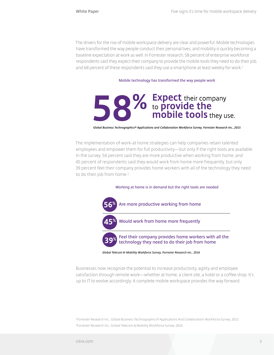The drivers for the rise of mobile workspace delivery are clear and powerful. Mobile technologies have transformed the way people conduct their personal lives, and mobility is quickly becoming a baseline expectation at work as well. In Forrester research, 58 percent of enterprise workforce respondents said they expect their company to provide the mobile tools they need to do their job, and 68 percent of these respondents said they use a smartphone at least weekly for work.<sup>1</sup>

#### **Mobile technology has transformed the way people work**



Global Business Technographics® Applications and Collaboration Workforce Survey, Forrester Research Inc., 2015

The implementation of work-at home strategies can help companies retain talented employees and empower them for full productivity—but only if the right tools are available. In the survey, 56 percent said they are more productive when working from home, and 45 percent of respondents said they would work from home more frequently, but only 39 percent feel their company provides home workers with all of the technology they need to do their job from home.<sup>2</sup>

#### **Working at home is in demand but the right tools are needed**



Businesses now recognize the potential to increase productivity, agility and employee satisfaction through remote work—whether at home, a client site, a hotel or a coffee shop. It's up to IT to evolve accordingly. A complete mobile workspace provides the way forward.

1 Forrester Research Inc., Global Business Technographics® Applications And Collaboration Workforce Survey, 2015 <sup>2</sup>Forrester Research Inc., Global Telecom & Mobility Workforce Survey, 2016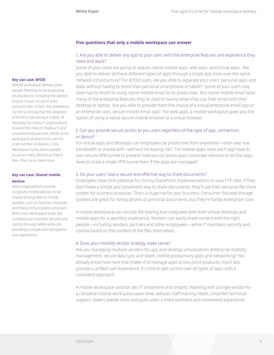#### **Five questions that only a mobile workspace can answer**

#### 1. Are you able to deliver any app to your users with the enterprise features and experience they need and want?

Some of your users are going to require native mobile apps, web apps, and virtual apps. Are you able to deliver all these different types of apps through a single app store over the same network infrastructure? For BYOD users, are you able to separate your users' personal apps and data, without having to enroll their personal smartphone or tablet? Some of your users may have had to resort to using native mobile email to be productive. But native mobile email lacks many of the enterprise features they're used to having when they use their email with their desktop or laptop. Are you able to provide them the choice of a virtual enterprise email app or an enterprise class, secure mobile email app? For web apps, a mobile workspace gives you the option of using a native secure mobile browser or a virtual browser.

#### 2. Can you provide secure access to you users regardless of the type of app, connection, or device?

For virtual apps and desktops can employees be productive from anywhere—even over low bandwidth or shared wif—without increasing risk? For mobile apps, does each app have its own secure VPN tunnel to prevent malicious to access your corporate network or do the apps have to share a single VPN tunnel even if the apps are managed?

#### 3. Do your users have a secure and effective way to share documents?

Employees have little patience for clumsy SharePoint implementations or slow FTP sites. If they don't have a simple and convenient way to share documents, they'll use their personal fle share system for business purposes. That's a huge risk for your business. Consumer-focused storage systems are great for family photos or personal documents, but they're hardly enterprise-class.

A mobile workspace can include fle sharing that integrates with both virtual desktops and mobile apps for a seamless experience. Workers can easily share content with the right people—including vendors, partners and other employees—while IT maintains security and control based on the content of the fles themselves.

#### 4. Does your mobility vendor strategy make sense?

Are you managing multiple vendors for app and desktop virtualization, enterprise mobility management, secure data sync and share, mobile productivity apps and networking? You already know how hard that makes it to manage apps across point products, much less provide a unifed user experience. It's time to get control over all types of apps with a consistent approach.

A mobile workspace solution lets IT streamline and simplify. Working with a single vendor for a complete mobile workspace saves time, reduces staff training needs, simplifes technical support, lowers overall costs and gives users a more seamless and convenient experience.

#### **Key use case: BYOD**

Mobile workspace delivery gives people fexibility to be productive on any device, including the devices they've chosen to use in their personal lives. In fact, this preference can be so strong that the adoption of BYOD is becoming a matter of necessity for many IT organizations to avoid the risks of shadow IT and unsanctioned practices. While some workspace vendors limit users to a set number of devices, Citrix Workspace Suite allows people to use as many devices as they'd like—four, six or even more.

#### **Key use case: Shared mobile devices**

Many organizations provide corporate mobile devices to be shared among feld or mobile workers, such as factories, hospitals and telecommunications providers. With Citrix Workspace Suite, the company can maintain security and control through MAM while still providing a simple and transparent user experience.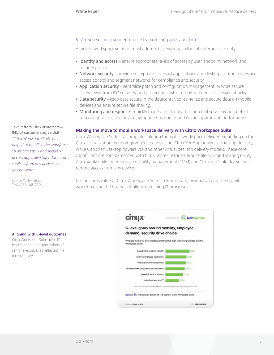#### 5. Are you securing your enterprise by protecting apps and data?

A mobile workspace solution must address fve essential pillars of enterprise security:

- **• Identity and access** ensure appropriate levels of access by user, endpoint, network and security profle
- **• Network security** provide encrypted delivery of applications and desktops, enforce network access control and segment networks for compliance and security
- **• Application security** centralize patch and confguration management, provide secure access even from BYO devices, and protect against zero-day and denial of service attacks
- **• Data security** keep data secure in the datacenter, containerize and secure data on mobile devices and ensure secure fle sharing.
- **• Monitoring and response** quickly triage and identify the source of service issues, detect misconfgurations and attacks, support compliance, and ensure uptime and performance

#### **Making the move to mobile workspace delivery with Citrix Workspace Suite**

Citrix Workspace Suite is a complete solution for mobile workspace delivery, expanding on the Citrix virtualization technology you're already using. Citrix XenApp powers virtual app delivery, while Citrix XenDesktop powers VDI and other virtual desktop delivery models. These core capabilities are complemented with Citrix ShareFile for enterprise fle sync and sharing (EFSS), Citrix XenMobile for enterprise mobility management (EMM) and Citrix NetScaler for secure remote access from any device.

The business value of Citrix Workspace Suite is clear: driving productivity for the mobile workforce and the business while streamlining IT processes.

**Aligning with C-level outcomes**

**Take it from Citrix customers— 84% of customers agree that**  *"Citrix Workspace Suite has helped to mobilize the workforce so we can easily and securely access apps, desktops, data and services from any device, over* 

*any network."*

Source: TechValidate. TVID: CBD-465-7FD

Citrix Workspace Suite helps IT leaders meet the expectations of senior executives as refected in a recent survey.

| <b>CİTRIX</b>                                                            | TechValidate<br><b>Flaxaurdh by</b>                                                   |
|--------------------------------------------------------------------------|---------------------------------------------------------------------------------------|
| C-level goals around mobility, employee<br>demand, security drive choice |                                                                                       |
| Workspace Suite?                                                         | What are the key C-level strategic priorities that align with your purchase of Citrix |
| Support the need for mobility                                            | 64N                                                                                   |
| Improve employee experience                                              |                                                                                       |
| improve security and privacy                                             | 54%                                                                                   |
| Drive business productivity and efficiency                               | 51%                                                                                   |
| Speed IT service delivery                                                | 57%                                                                                   |
| Allgri business and IT -                                                 |                                                                                       |
|                                                                          | Nets: thick a Hullale choos question - response percentopes may not edd at total -    |
| Source: C TechValidate survey of 116 users of Citrix Workspace Suite     |                                                                                       |
|                                                                          |                                                                                       |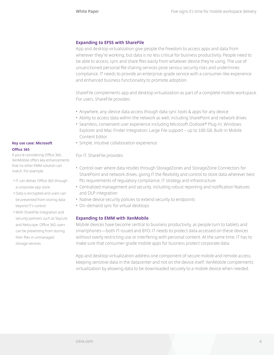#### **Expanding to EFSS with ShareFile**

App and desktop virtualization give people the freedom to access apps and data from wherever they're working, but data is no less critical for business productivity. People need to be able to access, sync and share fles easily from whatever device they're using. The use of unsanctioned personal fle sharing services pose serious security risks and undermines compliance. IT needs to provide an enterprise-grade service with a consumer-like experience and enhanced business functionality to promote adoption.

ShareFile complements app and desktop virtualization as part of a complete mobile workspace. For users, ShareFile provides:

- Anywhere, any-device data access though data sync tools & apps for any device
- Ability to access data within the network as well, including SharePoint and network drives
- Seamless, convenient user experience including Microsoft Outlook® Plug-In, Windows Explorer and Mac Finder Integration; Large File support – up to 100 GB; Built-in Mobile Content Editor
- Simple, intuitive collaboration experience

For IT, ShareFile provides:

- Control over where data resides through StorageZones and StorageZone Connectors for SharePoint and network drives, giving IT the fexibility and control to store data wherever best fts requirements of regulatory compliance, IT strategy and infrastructure
- Centralized management and security, including robust reporting and notifcation features and DLP integration
- Native device security policies to extend security to endpoints
- On-demand sync for virtual desktops

#### **Expanding to EMM with XenMobile**

Mobile devices have become central to business productivity, as people turn to tablets and smartphones—both IT-issued and BYO. IT needs to protect data accessed on these devices without overly restricting use or interfering with personal content. At the same time, IT has to make sure that consumer-grade mobile apps for business protect corporate data.

App and desktop virtualization address one component of secure mobile and remote access, keeping sensitive data in the datacenter and not on the device itself. XenMobile complements virtualization by allowing data to be downloaded securely to a mobile device when needed.

#### **Key use case: Microsoft Offce 365**

If you're considering Office 365, XenMobile offers key enhancements that no other EMM solution can match. For example:

- IT can deliver Office 365 through a corporate app store
- Data is encrypted and users can be prevented from storing data beyond IT's control
- With ShareFile integration and security partners such as Skycure and Netscope, Office 365 users can be preventing from storing their fles in unmanaged storage services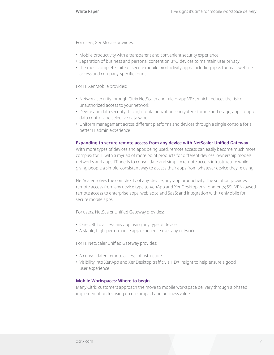For users, XenMobile provides:

- Mobile productivity with a transparent and convenient security experience
- Separation of business and personal content on BYO devices to maintain user privacy
- The most complete suite of secure mobile productivity apps, including apps for mail, website access and company-specifc forms

For IT, XenMobile provides:

- Network security through Citrix NetScaler and micro-app VPN, which reduces the risk of unauthorized access to your network
- Device and data security through containerization, encrypted storage and usage, app-to-app data control and selective data wipe
- Uniform management across different platforms and devices through a single console for a better IT admin experience

#### **Expanding to secure remote access from any device with NetScaler Unifed Gateway**

With more types of devices and apps being used, remote access can easily become much more complex for IT, with a myriad of more point products for different devices, ownership models, networks and apps. IT needs to consolidate and simplify remote access infrastructure while giving people a simple, consistent way to access their apps from whatever device they're using.

NetScaler solves the complexity of any-device, any-app productivity. The solution provides remote access from any device type to XenApp and XenDesktop environments; SSL VPN-based remote access to enterprise apps, web apps and SaaS; and integration with XenMobile for secure mobile apps.

For users, NetScaler Unifed Gateway provides:

- One URL to access any app using any type of device
- A stable, high-performance app experience over any network

For IT, NetScaler Unifed Gateway provides:

- A consolidated remote access infrastructure
- Visibility into XenApp and XenDesktop traffc via HDX Insight to help ensure a good user experience

#### **Mobile Workspaces: Where to begin**

Many Citrix customers approach the move to mobile workspace delivery through a phased implementation focusing on user impact and business value.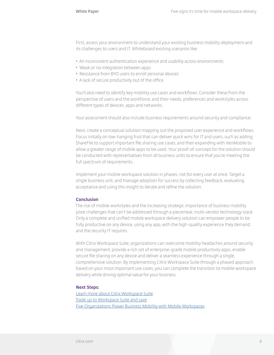First, assess your environment to understand your existing business mobility deployment and its challenges to users and IT. Whiteboard existing scenarios like:

- An inconsistent authentication experience and usability across environments
- Weak or no integration between apps
- Resistance from BYO users to enroll personal devices
- A lack of secure productivity out of the offce

You'll also need to identify key mobility use cases and workfows. Consider these from the perspective of users and the workforce, and their needs, preferences and workstyles across different types of devices, apps and networks.

Your assessment should also include business requirements around security and compliance.

Next, create a conceptual solution mapping out the proposed user experience and workfows. Focus initially on low-hanging fruit that can deliver quick wins for IT and users, such as adding ShareFile to support important fle sharing use cases, and then expanding with XenMobile to allow a greater range of mobile apps to be used. Your proof-of-concept for the solution should be conducted with representatives from all business units to ensure that you're meeting the full spectrum of requirements.

Implement your mobile workspace solution in phases, not for every user at once. Target a single business unit, and manage adoption for success by collecting feedback, evaluating acceptance and using this insight to iterate and refne the solution.

#### **Conclusion**

The rise of mobile workstyles and the increasing strategic importance of business mobility pose challenges that can't be addressed through a piecemeal, multi-vendor technology stack. Only a complete and unifed mobile workspace delivery solution can empower people to be fully productive on any device, using any app, with the high-quality experience they demand and the security IT requires.

With Citrix Workspace Suite, organizations can overcome mobility headaches around security and management, provide a rich set of enterprise-grade mobile productivity apps, enable secure fle sharing on any device and deliver a seamless experience through a single, comprehensive solution. By implementing Citrix Workspace Suite through a phased approach based on your most important use cases, you can complete the transition to mobile workspace delivery while driving optimal value for your business.

#### **Next Steps:**

[Learn more about Citrix Workspace Suite](https://www.citrix.com/products/citrix-workspace-suite) [Trade up to Workspace Suite and save](https://www.citrix.com/products/citrix-workspace-suite/trade-up.html) [Five Organizations Power Business Mobility with Mobile Workspaces](https://www.citrix.com/content/dam/citrix/en_us/documents/products-solutions/five-organizations-power-business-mobility-with-mobile-workspaces.pdf)